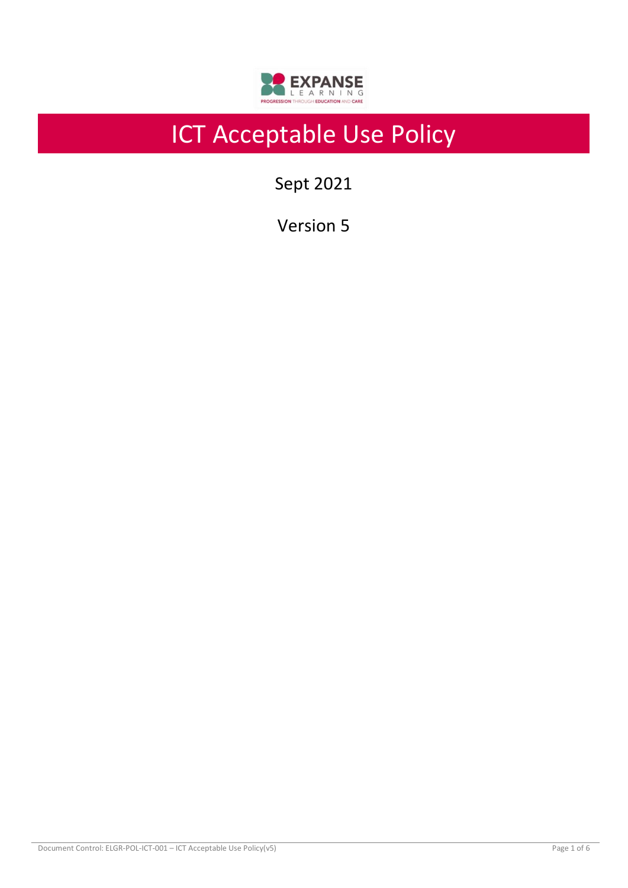

# ICT Acceptable Use Policy

Sept 2021

Version 5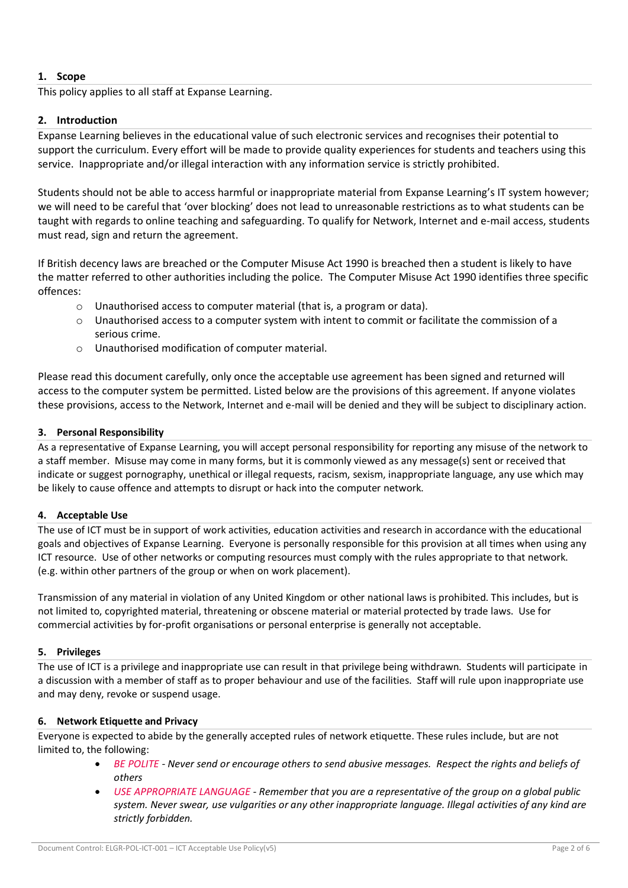# **1. Scope**

This policy applies to all staff at Expanse Learning.

# **2. Introduction**

Expanse Learning believes in the educational value of such electronic services and recognises their potential to support the curriculum. Every effort will be made to provide quality experiences for students and teachers using this service. Inappropriate and/or illegal interaction with any information service is strictly prohibited.

Students should not be able to access harmful or inappropriate material from Expanse Learning's IT system however; we will need to be careful that 'over blocking' does not lead to unreasonable restrictions as to what students can be taught with regards to online teaching and safeguarding. To qualify for Network, Internet and e-mail access, students must read, sign and return the [agreement.](https://cgsweb.carres.lincs.sch.uk/extranet/data/rctpolicies/RCT%20ICT%20-%20AUP%20&%20Media%20Forms%20adopted%2020%20June%202016.pdf)

If British decency laws are breached or the [Computer Misuse Act 1990](http://www.legislation.gov.uk/ukpga/1990/18/contents) is breached then a student is likely to have the matter referred to other authorities including the police. The Computer Misuse Act 1990 identifies three specific offences:

- $\circ$  Unauthorised access to computer material (that is, a program or data).
- o Unauthorised access to a computer system with intent to commit or facilitate the commission of a serious crime.
- o Unauthorised modification of computer material.

Please read this document carefully, only once the acceptable use agreement has been signed and returned will access to the computer system be permitted. Listed below are the provisions of this agreement. If anyone violates these provisions, access to the Network, Internet and e-mail will be denied and they will be subject to disciplinary action.

# **3. Personal Responsibility**

As a representative of Expanse Learning, you will accept personal responsibility for reporting any misuse of the network to a staff member. Misuse may come in many forms, but it is commonly viewed as any message(s) sent or received that indicate or suggest pornography, unethical or illegal requests, racism, sexism, inappropriate language, any use which may be likely to cause offence and attempts to disrupt or hack into the computer network.

# **4. Acceptable Use**

The use of ICT must be in support of work activities, education activities and research in accordance with the educational goals and objectives of Expanse Learning. Everyone is personally responsible for this provision at all times when using any ICT resource. Use of other networks or computing resources must comply with the rules appropriate to that network. (e.g. within other partners of the group or when on work placement).

Transmission of any material in violation of any United Kingdom or other national laws is prohibited. This includes, but is not limited to, copyrighted material, threatening or obscene material or material protected by trade laws. Use for commercial activities by for-profit organisations or personal enterprise is generally not acceptable.

## **5. Privileges**

The use of ICT is a privilege and inappropriate use can result in that privilege being withdrawn. Students will participate in a discussion with a member of staff as to proper behaviour and use of the facilities. Staff will rule upon inappropriate use and may deny, revoke or suspend usage.

## **6. Network Etiquette and Privacy**

Everyone is expected to abide by the generally accepted rules of network etiquette. These rules include, but are not limited to, the following:

- *BE POLITE - Never send or encourage others to send abusive messages. Respect the rights and beliefs of others*
- *USE APPROPRIATE LANGUAGE - Remember that you are a representative of the group on a global public system. Never swear, use vulgarities or any other inappropriate language. Illegal activities of any kind are strictly forbidden.*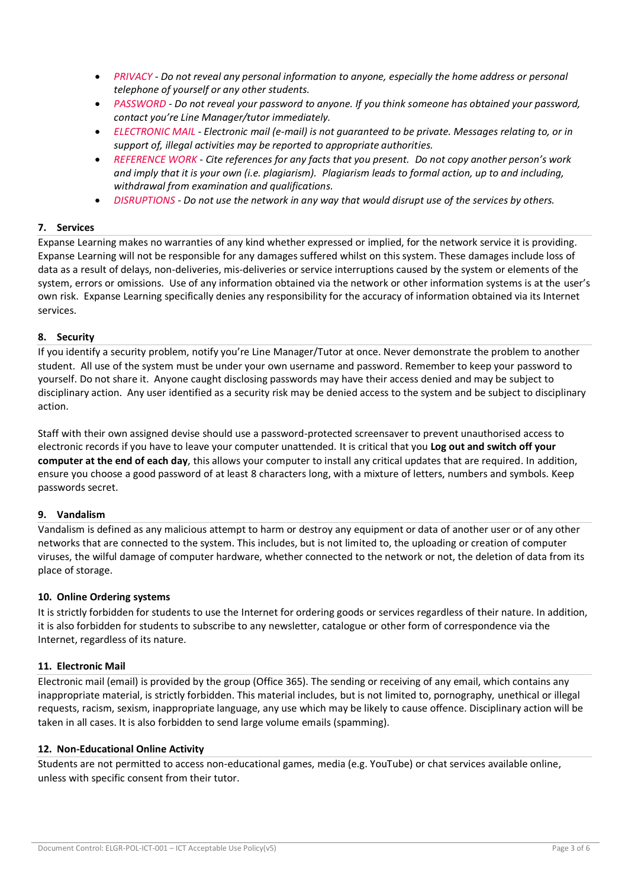- *PRIVACY - Do not reveal any personal information to anyone, especially the home address or personal telephone of yourself or any other students.*
- *PASSWORD - Do not reveal your password to anyone. If you think someone has obtained your password, contact you're Line Manager/tutor immediately.*
- *ELECTRONIC MAIL - Electronic mail (e-mail) is not guaranteed to be private. Messages relating to, or in support of, illegal activities may be reported to appropriate authorities.*
- *REFERENCE WORK - Cite references for any facts that you present. Do not copy another person's work and imply that it is your own (i.e. plagiarism). Plagiarism leads to formal action, up to and including, withdrawal from examination and qualifications.*
- *DISRUPTIONS - Do not use the network in any way that would disrupt use of the services by others.*

## **7. Services**

Expanse Learning makes no warranties of any kind whether expressed or implied, for the network service it is providing. Expanse Learning will not be responsible for any damages suffered whilst on this system. These damages include loss of data as a result of delays, non-deliveries, mis-deliveries or service interruptions caused by the system or elements of the system, errors or omissions. Use of any information obtained via the network or other information systems is at the user's own risk. Expanse Learning specifically denies any responsibility for the accuracy of information obtained via its Internet services.

#### **8. Security**

If you identify a security problem, notify you're Line Manager/Tutor at once. Never demonstrate the problem to another student. All use of the system must be under your own username and password. Remember to keep your password to yourself. Do not share it. Anyone caught disclosing passwords may have their access denied and may be subject to disciplinary action. Any user identified as a security risk may be denied access to the system and be subject to disciplinary action.

Staff with their own assigned devise should use a password-protected screensaver to prevent unauthorised access to electronic records if you have to leave your computer unattended. It is critical that you **Log out and switch off your computer at the end of each day**, this allows your computer to install any critical updates that are required. In addition, ensure you choose a good password of at least 8 characters long, with a mixture of letters, numbers and symbols. Keep passwords secret.

#### **9. Vandalism**

Vandalism is defined as any malicious attempt to harm or destroy any equipment or data of another user or of any other networks that are connected to the system. This includes, but is not limited to, the uploading or creation of computer viruses, the wilful damage of computer hardware, whether connected to the network or not, the deletion of data from its place of storage.

## **10. Online Ordering systems**

It is strictly forbidden for students to use the Internet for ordering goods or services regardless of their nature. In addition, it is also forbidden for students to subscribe to any newsletter, catalogue or other form of correspondence via the Internet, regardless of its nature.

#### **11. Electronic Mail**

Electronic mail (email) is provided by the group (Office 365). The sending or receiving of any email, which contains any inappropriate material, is strictly forbidden. This material includes, but is not limited to, pornography, unethical or illegal requests, racism, sexism, inappropriate language, any use which may be likely to cause offence. Disciplinary action will be taken in all cases. It is also forbidden to send large volume emails (spamming).

## **12. Non-Educational Online Activity**

Students are not permitted to access non-educational games, media (e.g. YouTube) or chat services available online, unless with specific consent from their tutor.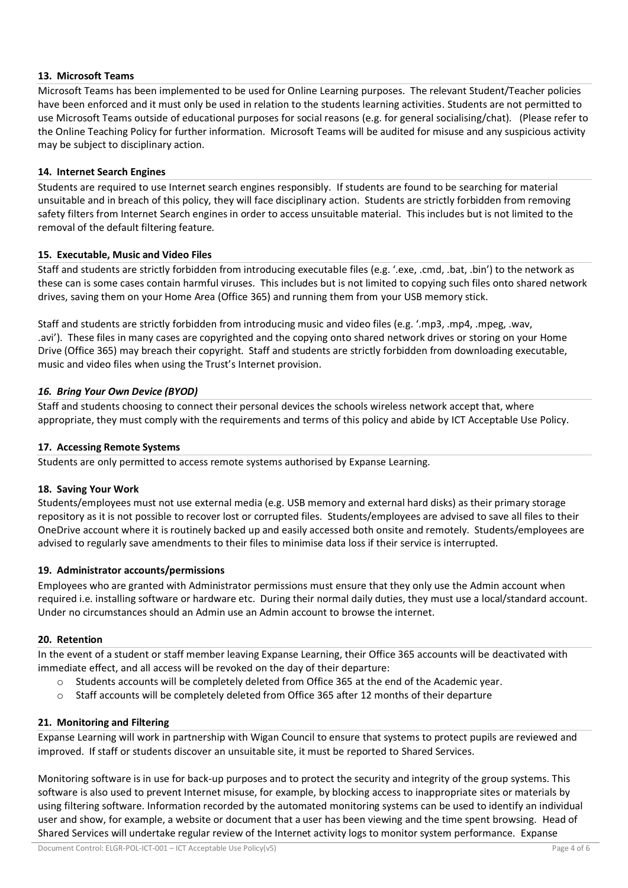## **13. Microsoft Teams**

Microsoft Teams has been implemented to be used for Online Learning purposes. The relevant Student/Teacher policies have been enforced and it must only be used in relation to the students learning activities. Students are not permitted to use Microsoft Teams outside of educational purposes for social reasons (e.g. for general socialising/chat). (Please refer to the Online Teaching Policy for further information. Microsoft Teams will be audited for misuse and any suspicious activity may be subject to disciplinary action.

## **14. Internet Search Engines**

Students are required to use Internet search engines responsibly. If students are found to be searching for material unsuitable and in breach of this policy, they will face disciplinary action. Students are strictly forbidden from removing safety filters from Internet Search engines in order to access unsuitable material. This includes but is not limited to the removal of the default filtering feature*.*

#### **15. Executable, Music and Video Files**

Staff and students are strictly forbidden from introducing executable files (e.g. '.exe, .cmd, .bat, .bin') to the network as these can is some cases contain harmful viruses. This includes but is not limited to copying such files onto shared network drives, saving them on your Home Area (Office 365) and running them from your USB memory stick.

Staff and students are strictly forbidden from introducing music and video files (e.g. '.mp3, .mp4, .mpeg, .wav, .avi'). These files in many cases are copyrighted and the copying onto shared network drives or storing on your Home Drive (Office 365) may breach their copyright. Staff and students are strictly forbidden from downloading executable, music and video files when using the Trust's Internet provision.

#### *16. Bring Your Own Device (BYOD)*

Staff and students choosing to connect their personal devices the schools wireless network accept that, where appropriate, they must comply with the requirements and terms of this policy and abide by ICT Acceptable Use Policy.

#### **17. Accessing Remote Systems**

Students are only permitted to access remote systems authorised by Expanse Learning.

#### **18. Saving Your Work**

Students/employees must not use external media (e.g. USB memory and external hard disks) as their primary storage repository as it is not possible to recover lost or corrupted files. Students/employees are advised to save all files to their OneDrive account where it is routinely backed up and easily accessed both onsite and remotely. Students/employees are advised to regularly save amendments to their files to minimise data loss if their service is interrupted.

## **19. Administrator accounts/permissions**

Employees who are granted with Administrator permissions must ensure that they only use the Admin account when required i.e. installing software or hardware etc. During their normal daily duties, they must use a local/standard account. Under no circumstances should an Admin use an Admin account to browse the internet.

#### **20. Retention**

In the event of a student or staff member leaving Expanse Learning, their Office 365 accounts will be deactivated with immediate effect, and all access will be revoked on the day of their departure:

- o Students accounts will be completely deleted from Office 365 at the end of the Academic year.
- o Staff accounts will be completely deleted from Office 365 after 12 months of their departure

## **21. Monitoring and Filtering**

Expanse Learning will work in partnership with Wigan Council to ensure that systems to protect pupils are reviewed and improved. If staff or students discover an unsuitable site, it must be reported to Shared Services.

Monitoring software is in use for back-up purposes and to protect the security and integrity of the group systems. This software is also used to prevent Internet misuse, for example, by blocking access to inappropriate sites or materials by using filtering software. Information recorded by the automated monitoring systems can be used to identify an individual user and show, for example, a website or document that a user has been viewing and the time spent browsing. Head of Shared Services will undertake regular review of the Internet activity logs to monitor system performance. Expanse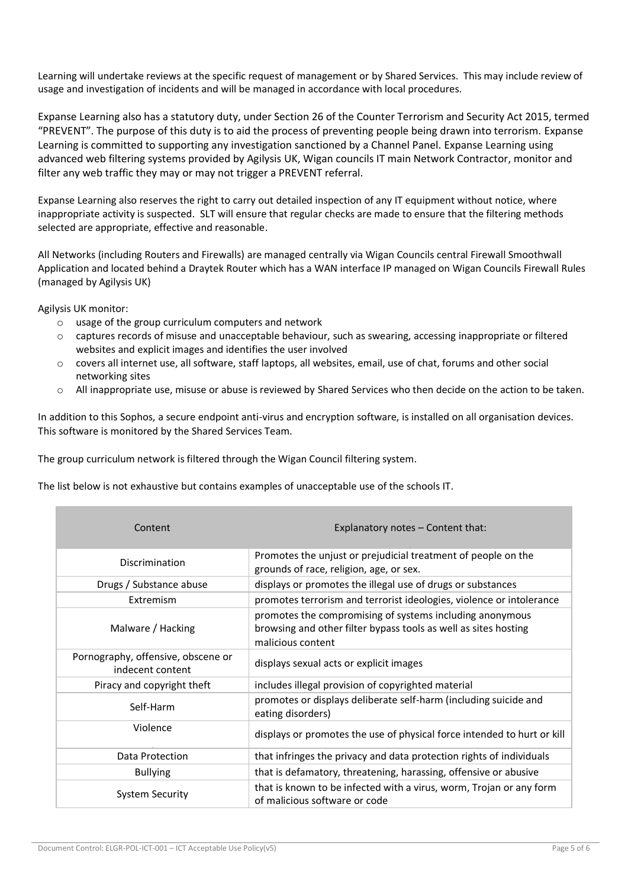Learning will undertake reviews at the specific request of management or by Shared Services. This may include review of usage and investigation of incidents and will be managed in accordance with local procedures.

Expanse Learning also has a statutory duty, under Section 26 of the Counter Terrorism and Security Act 2015, termed "PREVENT". The purpose of this duty is to aid the process of preventing people being drawn into terrorism. Expanse Learning is committed to supporting any investigation sanctioned by a Channel Panel. Expanse Learning using advanced web filtering systems provided by Agilysis UK, Wigan councils IT main Network Contractor, monitor and filter any web traffic they may or may not trigger a PREVENT referral.

Expanse Learning also reserves the right to carry out detailed inspection of any IT equipment without notice, where inappropriate activity is suspected. SLT will ensure that regular checks are made to ensure that the filtering methods selected are appropriate, effective and reasonable.

All Networks (including Routers and Firewalls) are managed centrally via Wigan Councils central Firewall Smoothwall Application and located behind a Draytek Router which has a WAN interface IP managed on Wigan Councils Firewall Rules (managed by Agilysis UK)

Agilysis UK monitor:

- o usage of the group curriculum computers and network
- o captures records of misuse and unacceptable behaviour, such as swearing, accessing inappropriate or filtered websites and explicit images and identifies the user involved
- o covers all internet use, all software, staff laptops, all websites, email, use of chat, forums and other social networking sites
- o All inappropriate use, misuse or abuse is reviewed by Shared Services who then decide on the action to be taken.

In addition to this Sophos, a secure endpoint anti-virus and encryption software, is installed on all organisation devices. This software is monitored by the Shared Services Team.

The group curriculum network is filtered through the Wigan Council filtering system.

The list below is not exhaustive but contains examples of unacceptable use of the schools IT.

| Content                                                | Explanatory notes - Content that:                                                                                                                |
|--------------------------------------------------------|--------------------------------------------------------------------------------------------------------------------------------------------------|
| Discrimination                                         | Promotes the unjust or prejudicial treatment of people on the<br>grounds of race, religion, age, or sex.                                         |
| Drugs / Substance abuse                                | displays or promotes the illegal use of drugs or substances                                                                                      |
| Extremism                                              | promotes terrorism and terrorist ideologies, violence or intolerance                                                                             |
| Malware / Hacking                                      | promotes the compromising of systems including anonymous<br>browsing and other filter bypass tools as well as sites hosting<br>malicious content |
| Pornography, offensive, obscene or<br>indecent content | displays sexual acts or explicit images                                                                                                          |
| Piracy and copyright theft                             | includes illegal provision of copyrighted material                                                                                               |
| Self-Harm                                              | promotes or displays deliberate self-harm (including suicide and<br>eating disorders)                                                            |
| Violence                                               | displays or promotes the use of physical force intended to hurt or kill                                                                          |
| Data Protection                                        | that infringes the privacy and data protection rights of individuals                                                                             |
| <b>Bullying</b>                                        | that is defamatory, threatening, harassing, offensive or abusive                                                                                 |
| <b>System Security</b>                                 | that is known to be infected with a virus, worm, Trojan or any form<br>of malicious software or code                                             |